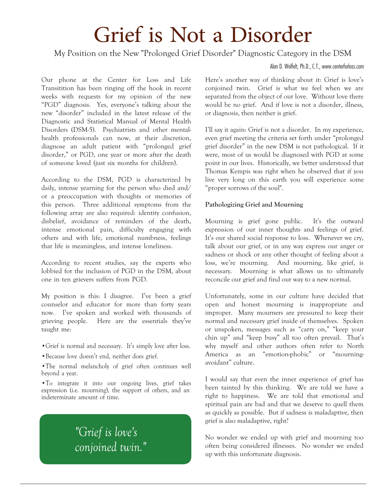# Grief is Not a Disorder

My Position on the New "Prolonged Grief Disorder" Diagnostic Category in the DSM

Alan D. Wolfelt, Ph.D., C.T., www.centerforloss.com

Our phone at the Center for Loss and Life Transitition has been ringing off the hook in recent weeks with requests for my opinion of the new "PGD" diagnosis. Yes, everyone's talking about the new "disorder" included in the latest release of the Diagnostic and Statistical Manual of Mental Health Disorders (DSM-5). Psychiatrists and other mentalhealth professionals can now, at their discretion, diagnose an adult patient with "prolonged grief disorder," or PGD, one year or more after the death of someone loved (just six months for children).

According to the DSM, PGD is characterized by daily, intense yearning for the person who died and/ or a preoccupation with thoughts or memories of this person. Three additional symptoms from the following array are also required: identity confusion, disbelief, avoidance of reminders of the death, intense emotional pain, difficulty engaging with others and with life, emotional numbness, feelings that life is meaningless, and intense loneliness.

According to recent studies, say the experts who lobbied for the inclusion of PGD in the DSM, about one in ten grievers suffers from PGD.

My position is this: I disagree. I've been a grief counselor and educator for more than forty years now. I've spoken and worked with thousands of grieving people. Here are the essentials they've taught me:

- •Grief is normal and necessary. It's simply love after loss.
- •Because love doesn't end, neither does grief.

•The normal melancholy of grief often continues well beyond a year.

•To integrate it into our ongoing lives, grief takes expression (i.e. mourning), the support of others, and an indeterminate amount of time.

# *"Grief is love's conjoined twin."*

Here's another way of thinking about it: Grief is love's conjoined twin. Grief is what we feel when we are separated from the object of our love. Without love there would be no grief. And if love is not a disorder, illness, or diagnosis, then neither is grief.

I'll say it again: Grief is not a disorder. In my experience, even grief meeting the criteria set forth under "prolonged grief disorder" in the new DSM is not pathological. If it were, most of us would be diagnosed with PGD at some point in our lives. Historically, we better understood that Thomas Kempis was right when he observed that if you live very long on this earth you will experience some "proper sorrows of the soul".

## **Pathologizing Grief and Mourning**

Mourning is grief gone public. It's the outward expression of our inner thoughts and feelings of grief. It's our shared social response to loss. Whenever we cry, talk about our grief, or in any way express our anger or sadness or shock or any other thought of feeling about a loss, we're mourning. And mourning, like grief, is necessary. Mourning is what allows us to ultimately reconcile our grief and find our way to a new normal.

Unfortunately, some in our culture have decided that open and honest mourning is inappropriate and improper. Many mourners are pressured to keep their normal and necessary grief inside of themselves. Spoken or unspoken, messages such as "carry on," "keep your chin up" and "keep busy" all too often prevail. That's why myself and other authors often refer to North America as an "emotion-phobic" or "mourningavoidant" culture.

I would say that even the inner experience of grief has been tainted by this thinking. We are told we have a right to happiness. We are told that emotional and spiritual pain are bad and that we deserve to quell them as quickly as possible. But if sadness is maladaptive, then grief is also maladaptive, right?

No wonder we ended up with grief and mourning too often being considered illnesses. No wonder we ended up with this unfortunate diagnosis.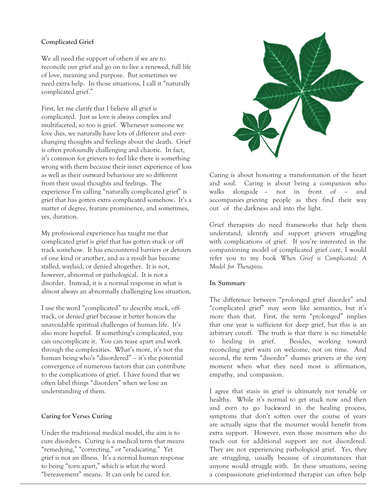## **Complicated Grief**

We all need the support of others if we are to reconcile our grief and go on to live a renewed, full life of love, meaning and purpose. But sometimes we need extra help. In those situations, I call it "naturally complicated grief."

First, let me clarify that I believe all grief is complicated. Just as love is always complex and multifaceted, so too is grief. Whenever someone we love dies, we naturally have lots of different and everchanging thoughts and feelings about the death. Grief is often profoundly challenging and chaotic. In fact, it's common for grievers to feel like there is something wrong with them because their inner experience of loss as well as their outward behaviour are so different from their usual thoughts and feelings. The experience I'm calling "naturally complicated grief" is grief that has gotten extra complicated somehow. It's a matter of degree, feature prominence, and sometimes, yes, duration.

My professional experience has taught me that complicated grief is grief that has gotten stuck or off track somehow. It has encountered barriers or detours of one kind or another, and as a result has become stalled, waylaid, or denied altogether. It is not, however, abnormal or pathological. It is not a disorder. Instead, it is a normal response in what is almost always an abnormally challenging loss situation.

I use the word "complicated" to describe stuck, offtrack, or denied grief because it better honors the unavoidable spiritual challenges of human life. It's also more hopeful. If something's complicated, you can uncomplicate it. You can tease apart and work through the complexities. What's more, it's not the human being who's "disordered" – it's the potential convergence of numerous factors that can contribute to the complications of grief. I have found that we often label things "disorders" when we lose an understanding of them.

## **Caring for Verses Curing**

Under the traditional medical model, the aim is to cure disorders. Curing is a medical term that means "remedying," "correcting," or "eradicating." Yet grief is not an illness. It's a normal human response to being "torn apart," which is what the word "bereavement" means. It can only be cared for.



Caring is about honoring a transformation of the heart and soul. Caring is about being a companion who walks alongside – not in front of – and accompanies grieving people as they find their way out of the darkness and into the light.

Grief therapists do need frameworks that help them understand, identify and support grievers struggling with complications of grief. If you're interested in the companioning model of complicated grief care, I would refer you to my book *When Grief is Complicated: A Model for Therapists.* 

#### **In Summary**

The difference between "prolonged grief disorder" and "complicated grief" may seem like semantics, but it's more than that. First, the term "prolonged" implies that one year is sufficient for deep grief, but this is an arbitrary cutoff. The truth is that there is no timetable to healing in grief. Besides, working toward reconciling grief waits on welcome, not on time. And second, the term "disorder" shames grievers at the very moment when what they need most is affirmation, empathy, and compassion.

I agree that stasis in grief is ultimately not tenable or healthy. While it's normal to get stuck now and then and even to go backward in the healing process, symptoms that don't soften over the course of years are actually signs that the mourner would benefit from extra support. However, even those mourners who do reach out for additional support are not disordered. They are not experiencing pathological grief. Yes, they are struggling, usually because of circumstances that anyone would struggle with. In these situations, seeing a compassionate grief-informed therapist can often help